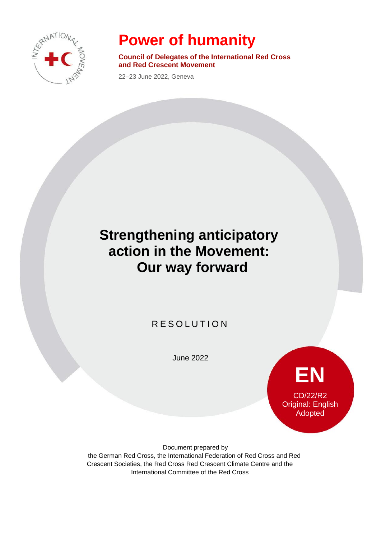

# **Power of humanity**

**Council of Delegates of the International Red Cross and Red Crescent Movement**

22–23 June 2022, Geneva

## **Strengthening anticipatory action in the Movement: Our way forward**

### **RESOLUTION**

June 2022

**EN** CD/22/R2 Original: English Adopted

Document prepared by the German Red Cross, the International Federation of Red Cross and Red Crescent Societies, the Red Cross Red Crescent Climate Centre and the International Committee of the Red Cross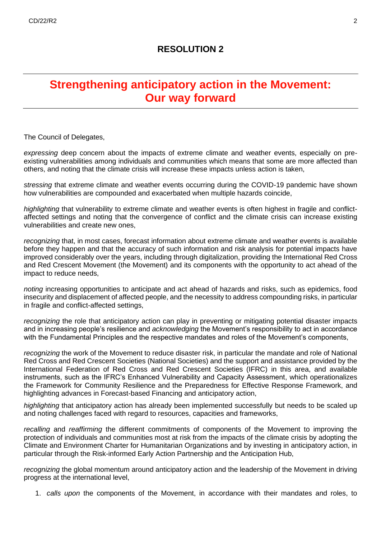#### **RESOLUTION 2**

### **Strengthening anticipatory action in the Movement: Our way forward**

The Council of Delegates,

*expressing* deep concern about the impacts of extreme climate and weather events, especially on preexisting vulnerabilities among individuals and communities which means that some are more affected than others, and noting that the climate crisis will increase these impacts unless action is taken,

*stressing* that extreme climate and weather events occurring during the COVID-19 pandemic have shown how vulnerabilities are compounded and exacerbated when multiple hazards coincide,

*highlighting* that vulnerability to extreme climate and weather events is often highest in fragile and conflictaffected settings and noting that the convergence of conflict and the climate crisis can increase existing vulnerabilities and create new ones,

*recognizing* that, in most cases, forecast information about extreme climate and weather events is available before they happen and that the accuracy of such information and risk analysis for potential impacts have improved considerably over the years, including through digitalization, providing the International Red Cross and Red Crescent Movement (the Movement) and its components with the opportunity to act ahead of the impact to reduce needs,

*noting* increasing opportunities to anticipate and act ahead of hazards and risks, such as epidemics, food insecurity and displacement of affected people, and the necessity to address compounding risks, in particular in fragile and conflict-affected settings,

*recognizing* the role that anticipatory action can play in preventing or mitigating potential disaster impacts and in increasing people's resilience and *acknowledging* the Movement's responsibility to act in accordance with the Fundamental Principles and the respective mandates and roles of the Movement's components,

*recognizing* the work of the Movement to reduce disaster risk, in particular the mandate and role of National Red Cross and Red Crescent Societies (National Societies) and the support and assistance provided by the International Federation of Red Cross and Red Crescent Societies (IFRC) in this area, and available instruments, such as the IFRC's Enhanced Vulnerability and Capacity Assessment, which operationalizes the Framework for Community Resilience and the Preparedness for Effective Response Framework, and highlighting advances in Forecast-based Financing and anticipatory action,

*highlighting* that anticipatory action has already been implemented successfully but needs to be scaled up and noting challenges faced with regard to resources, capacities and frameworks,

*recalling* and *reaffirming* the different commitments of components of the Movement to improving the protection of individuals and communities most at risk from the impacts of the climate crisis by adopting the Climate and Environment Charter for Humanitarian Organizations and by investing in anticipatory action, in particular through the Risk-informed Early Action Partnership and the Anticipation Hub,

*recognizing* the global momentum around anticipatory action and the leadership of the Movement in driving progress at the international level,

1. *calls upon* the components of the Movement, in accordance with their mandates and roles, to